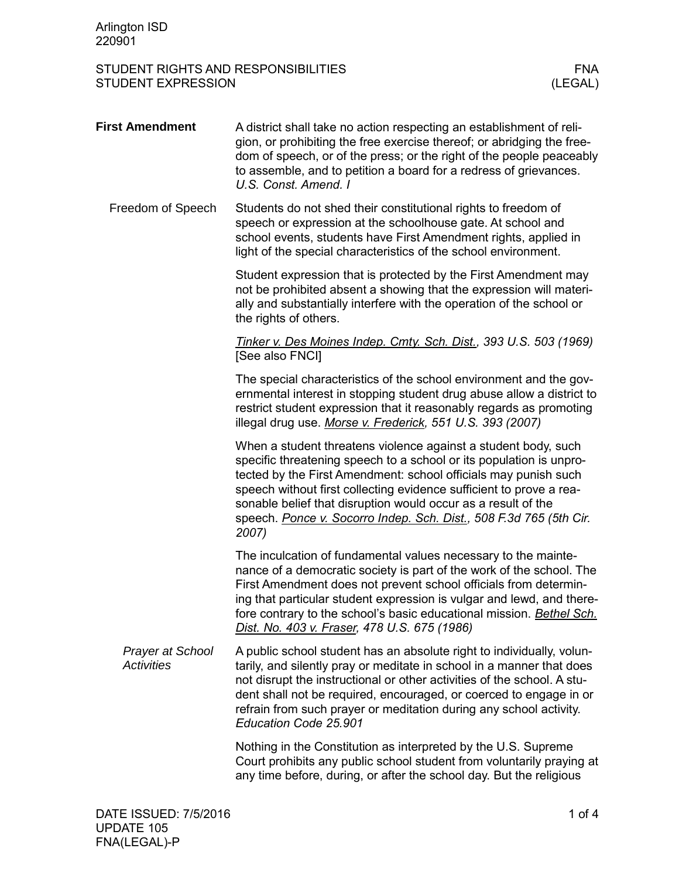| <b>First Amendment</b>                       | A district shall take no action respecting an establishment of reli-<br>gion, or prohibiting the free exercise thereof; or abridging the free-<br>dom of speech, or of the press; or the right of the people peaceably<br>to assemble, and to petition a board for a redress of grievances.<br>U.S. Const. Amend. I                                                                                                             |  |
|----------------------------------------------|---------------------------------------------------------------------------------------------------------------------------------------------------------------------------------------------------------------------------------------------------------------------------------------------------------------------------------------------------------------------------------------------------------------------------------|--|
| Freedom of Speech                            | Students do not shed their constitutional rights to freedom of<br>speech or expression at the schoolhouse gate. At school and<br>school events, students have First Amendment rights, applied in<br>light of the special characteristics of the school environment.                                                                                                                                                             |  |
|                                              | Student expression that is protected by the First Amendment may<br>not be prohibited absent a showing that the expression will materi-<br>ally and substantially interfere with the operation of the school or<br>the rights of others.                                                                                                                                                                                         |  |
|                                              | Tinker v. Des Moines Indep. Cmty. Sch. Dist., 393 U.S. 503 (1969)<br>[See also FNCI]                                                                                                                                                                                                                                                                                                                                            |  |
|                                              | The special characteristics of the school environment and the gov-<br>ernmental interest in stopping student drug abuse allow a district to<br>restrict student expression that it reasonably regards as promoting<br>illegal drug use. Morse v. Frederick, 551 U.S. 393 (2007)                                                                                                                                                 |  |
|                                              | When a student threatens violence against a student body, such<br>specific threatening speech to a school or its population is unpro-<br>tected by the First Amendment: school officials may punish such<br>speech without first collecting evidence sufficient to prove a rea-<br>sonable belief that disruption would occur as a result of the<br>speech. Ponce v. Socorro Indep. Sch. Dist., 508 F.3d 765 (5th Cir.<br>2007) |  |
|                                              | The inculcation of fundamental values necessary to the mainte-<br>nance of a democratic society is part of the work of the school. The<br>First Amendment does not prevent school officials from determin-<br>ing that particular student expression is vulgar and lewd, and there-<br>fore contrary to the school's basic educational mission. Bethel Sch.<br>Dist. No. 403 v. Fraser, 478 U.S. 675 (1986)                     |  |
| <b>Prayer at School</b><br><b>Activities</b> | A public school student has an absolute right to individually, volun-<br>tarily, and silently pray or meditate in school in a manner that does<br>not disrupt the instructional or other activities of the school. A stu-<br>dent shall not be required, encouraged, or coerced to engage in or<br>refrain from such prayer or meditation during any school activity.<br>Education Code 25.901                                  |  |
|                                              | Nothing in the Constitution as interpreted by the U.S. Supreme<br>Court prohibits any public school student from voluntarily praying at<br>any time before, during, or after the school day. But the religious                                                                                                                                                                                                                  |  |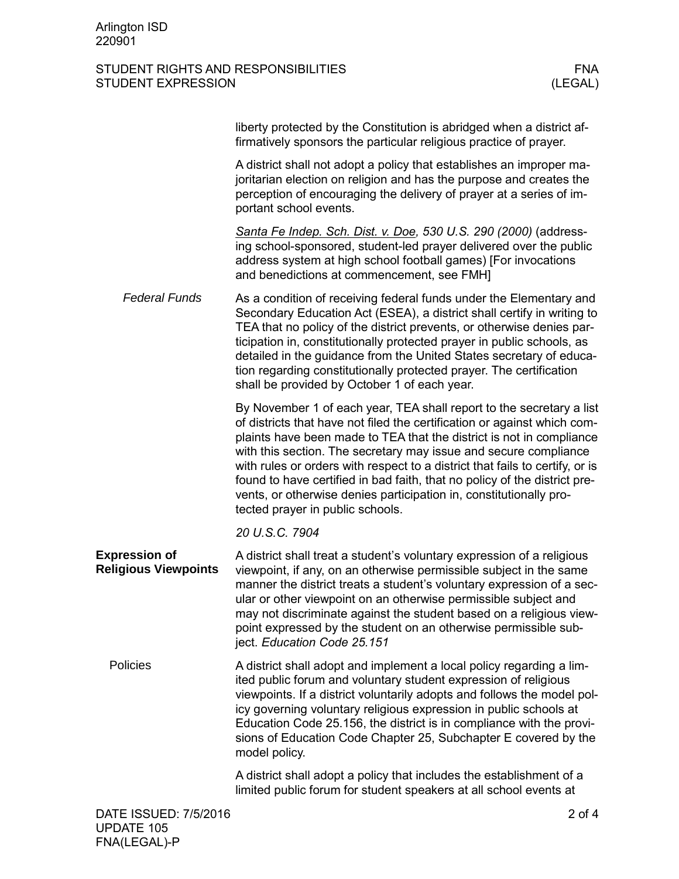|                                                     | liberty protected by the Constitution is abridged when a district af-<br>firmatively sponsors the particular religious practice of prayer.                                                                                                                                                                                                                                                                                                                                                                                                                          |  |
|-----------------------------------------------------|---------------------------------------------------------------------------------------------------------------------------------------------------------------------------------------------------------------------------------------------------------------------------------------------------------------------------------------------------------------------------------------------------------------------------------------------------------------------------------------------------------------------------------------------------------------------|--|
|                                                     | A district shall not adopt a policy that establishes an improper ma-<br>joritarian election on religion and has the purpose and creates the<br>perception of encouraging the delivery of prayer at a series of im-<br>portant school events.                                                                                                                                                                                                                                                                                                                        |  |
|                                                     | Santa Fe Indep. Sch. Dist. v. Doe, 530 U.S. 290 (2000) (address-<br>ing school-sponsored, student-led prayer delivered over the public<br>address system at high school football games) [For invocations<br>and benedictions at commencement, see FMH]                                                                                                                                                                                                                                                                                                              |  |
| <b>Federal Funds</b>                                | As a condition of receiving federal funds under the Elementary and<br>Secondary Education Act (ESEA), a district shall certify in writing to<br>TEA that no policy of the district prevents, or otherwise denies par-<br>ticipation in, constitutionally protected prayer in public schools, as<br>detailed in the guidance from the United States secretary of educa-<br>tion regarding constitutionally protected prayer. The certification<br>shall be provided by October 1 of each year.                                                                       |  |
|                                                     | By November 1 of each year, TEA shall report to the secretary a list<br>of districts that have not filed the certification or against which com-<br>plaints have been made to TEA that the district is not in compliance<br>with this section. The secretary may issue and secure compliance<br>with rules or orders with respect to a district that fails to certify, or is<br>found to have certified in bad faith, that no policy of the district pre-<br>vents, or otherwise denies participation in, constitutionally pro-<br>tected prayer in public schools. |  |
|                                                     | 20 U.S.C. 7904                                                                                                                                                                                                                                                                                                                                                                                                                                                                                                                                                      |  |
| <b>Expression of</b><br><b>Religious Viewpoints</b> | A district shall treat a student's voluntary expression of a religious<br>viewpoint, if any, on an otherwise permissible subject in the same<br>manner the district treats a student's voluntary expression of a sec-<br>ular or other viewpoint on an otherwise permissible subject and<br>may not discriminate against the student based on a religious view-<br>point expressed by the student on an otherwise permissible sub-<br>ject. Education Code 25.151                                                                                                   |  |
| Policies                                            | A district shall adopt and implement a local policy regarding a lim-<br>ited public forum and voluntary student expression of religious<br>viewpoints. If a district voluntarily adopts and follows the model pol-<br>icy governing voluntary religious expression in public schools at<br>Education Code 25.156, the district is in compliance with the provi-<br>sions of Education Code Chapter 25, Subchapter E covered by the<br>model policy.                                                                                                                 |  |
|                                                     | A district shall adopt a policy that includes the establishment of a<br>limited public forum for student speakers at all school events at                                                                                                                                                                                                                                                                                                                                                                                                                           |  |
| DATE ISSUED: 7/5/2016<br>IIDNATE 405                | $2$ of 4                                                                                                                                                                                                                                                                                                                                                                                                                                                                                                                                                            |  |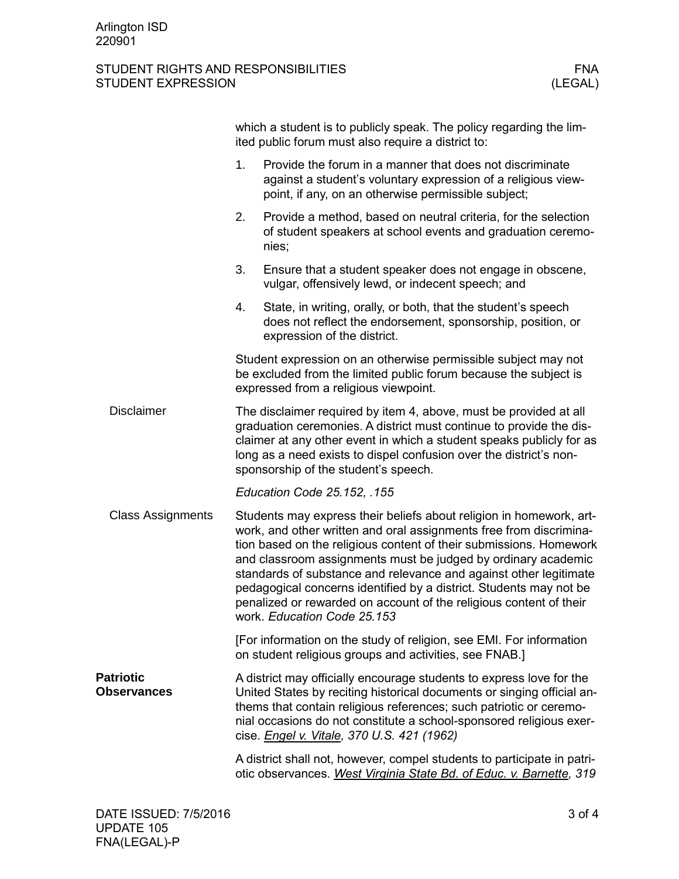|                                        | which a student is to publicly speak. The policy regarding the lim-<br>ited public forum must also require a district to:                                                                                                                                                                                                                                                                                                                                                                                                        |                                                                                                                                                                                  |  |  |  |
|----------------------------------------|----------------------------------------------------------------------------------------------------------------------------------------------------------------------------------------------------------------------------------------------------------------------------------------------------------------------------------------------------------------------------------------------------------------------------------------------------------------------------------------------------------------------------------|----------------------------------------------------------------------------------------------------------------------------------------------------------------------------------|--|--|--|
|                                        | 1.                                                                                                                                                                                                                                                                                                                                                                                                                                                                                                                               | Provide the forum in a manner that does not discriminate<br>against a student's voluntary expression of a religious view-<br>point, if any, on an otherwise permissible subject; |  |  |  |
|                                        | 2.                                                                                                                                                                                                                                                                                                                                                                                                                                                                                                                               | Provide a method, based on neutral criteria, for the selection<br>of student speakers at school events and graduation ceremo-<br>nies;                                           |  |  |  |
|                                        | 3.                                                                                                                                                                                                                                                                                                                                                                                                                                                                                                                               | Ensure that a student speaker does not engage in obscene,<br>vulgar, offensively lewd, or indecent speech; and                                                                   |  |  |  |
|                                        | 4.                                                                                                                                                                                                                                                                                                                                                                                                                                                                                                                               | State, in writing, orally, or both, that the student's speech<br>does not reflect the endorsement, sponsorship, position, or<br>expression of the district.                      |  |  |  |
|                                        | Student expression on an otherwise permissible subject may not<br>be excluded from the limited public forum because the subject is<br>expressed from a religious viewpoint.                                                                                                                                                                                                                                                                                                                                                      |                                                                                                                                                                                  |  |  |  |
| <b>Disclaimer</b>                      | The disclaimer required by item 4, above, must be provided at all<br>graduation ceremonies. A district must continue to provide the dis-<br>claimer at any other event in which a student speaks publicly for as<br>long as a need exists to dispel confusion over the district's non-<br>sponsorship of the student's speech.                                                                                                                                                                                                   |                                                                                                                                                                                  |  |  |  |
|                                        |                                                                                                                                                                                                                                                                                                                                                                                                                                                                                                                                  | Education Code 25.152, .155                                                                                                                                                      |  |  |  |
| <b>Class Assignments</b>               | Students may express their beliefs about religion in homework, art-<br>work, and other written and oral assignments free from discrimina-<br>tion based on the religious content of their submissions. Homework<br>and classroom assignments must be judged by ordinary academic<br>standards of substance and relevance and against other legitimate<br>pedagogical concerns identified by a district. Students may not be<br>penalized or rewarded on account of the religious content of their<br>work. Education Code 25.153 |                                                                                                                                                                                  |  |  |  |
|                                        |                                                                                                                                                                                                                                                                                                                                                                                                                                                                                                                                  | [For information on the study of religion, see EMI. For information<br>on student religious groups and activities, see FNAB.]                                                    |  |  |  |
| <b>Patriotic</b><br><b>Observances</b> | A district may officially encourage students to express love for the<br>United States by reciting historical documents or singing official an-<br>thems that contain religious references; such patriotic or ceremo-<br>nial occasions do not constitute a school-sponsored religious exer-<br>cise. <i>Engel v. Vitale</i> , 370 U.S. 421 (1962)                                                                                                                                                                                |                                                                                                                                                                                  |  |  |  |
|                                        |                                                                                                                                                                                                                                                                                                                                                                                                                                                                                                                                  | A district shall not, however, compel students to participate in patri-<br>otic observances. West Virginia State Bd. of Educ. v. Barnette, 319                                   |  |  |  |